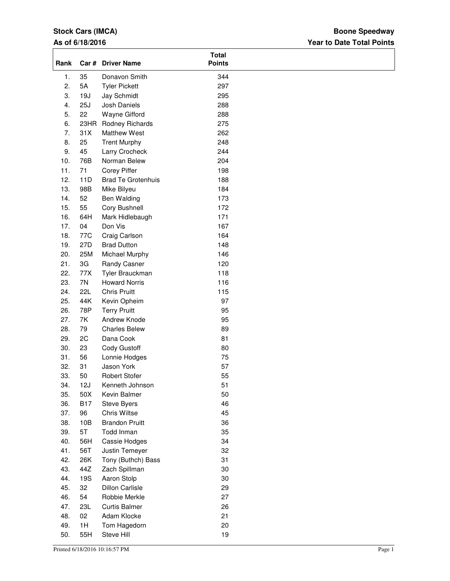# **Stock Cars (IMCA)**

### **As of 6/18/2016**

## **Year to Date Total Points Boone Speedway**

| Rank             | Car #      | <b>Driver Name</b>        | <b>Total</b><br><b>Points</b> |  |
|------------------|------------|---------------------------|-------------------------------|--|
| 1.               | 35         | Donavon Smith             | 344                           |  |
| 2.               | 5A         | <b>Tyler Pickett</b>      | 297                           |  |
| 3.               | 19J        | Jay Schmidt               | 295                           |  |
| $\overline{4}$ . | 25J        | Josh Daniels              | 288                           |  |
| 5.               | 22         | Wayne Gifford             | 288                           |  |
| 6.               | 23HR       | Rodney Richards           | 275                           |  |
| 7.               | 31X        | Matthew West              | 262                           |  |
| 8.               | 25         | <b>Trent Murphy</b>       | 248                           |  |
| 9.               | 45         | Larry Crocheck            | 244                           |  |
| 10.              | 76B        | Norman Belew              | 204                           |  |
| 11.              | 71         | Corey Piffer              | 198                           |  |
| 12.              | 11D        | <b>Brad Te Grotenhuis</b> | 188                           |  |
| 13.              | 98B        | Mike Bilyeu               | 184                           |  |
| 14.              | 52         | Ben Walding               | 173                           |  |
| 15.              | 55         | Cory Bushnell             | 172                           |  |
| 16.              | 64H        | Mark Hidlebaugh           | 171                           |  |
| 17.              | 04         | Don Vis                   | 167                           |  |
| 18.              | 77C        | Craig Carlson             | 164                           |  |
| 19.              | 27D        | <b>Brad Dutton</b>        | 148                           |  |
| 20.              | 25M        | Michael Murphy            | 146                           |  |
| 21.              | 3G         | Randy Casner              | 120                           |  |
| 22.              | 77X        | Tyler Brauckman           | 118                           |  |
| 23.              | 7N         | <b>Howard Norris</b>      | 116                           |  |
| 24.              | <b>22L</b> | <b>Chris Pruitt</b>       | 115                           |  |
| 25.              | 44K        | Kevin Opheim              | 97                            |  |
| 26.              | 78P        | <b>Terry Pruitt</b>       | 95                            |  |
| 27.              | 7K         | Andrew Knode              | 95                            |  |
| 28.              | 79         | <b>Charles Belew</b>      | 89                            |  |
| 29.              | 2C         | Dana Cook                 | 81                            |  |
| 30.              | 23         | Cody Gustoff              | 80                            |  |
| 31.              | 56         | Lonnie Hodges             | 75                            |  |
| 32.              | 31         | Jason York                | 57                            |  |
| 33.              | 50         | Robert Stofer             | 55                            |  |
| 34.              | 12J        | Kenneth Johnson           | 51                            |  |
| 35.              | 50X        | Kevin Balmer              | 50                            |  |
| 36.              | <b>B17</b> | Steve Byers               | 46                            |  |
| 37.              | 96         | <b>Chris Wiltse</b>       | 45                            |  |
| 38.              | 10B        | <b>Brandon Pruitt</b>     | 36                            |  |
| 39.              | 5T         | Todd Inman                | 35                            |  |
| 40.              | 56H        | Cassie Hodges             | 34                            |  |
| 41.              | 56T        | Justin Temeyer            | 32                            |  |
| 42.              | 26K        | Tony (Buthch) Bass        | 31                            |  |
| 43.              | 44Z        | Zach Spillman             | 30                            |  |
| 44.              | 19S        | Aaron Stolp               | 30                            |  |
| 45.              | 32         | <b>Dillon Carlisle</b>    | 29                            |  |
| 46.              | 54         | Robbie Merkle             | 27                            |  |
| 47.              | 23L        | <b>Curtis Balmer</b>      | 26                            |  |
| 48.              | 02         | Adam Klocke               | 21                            |  |
| 49.              | 1H         | Tom Hagedorn              | 20                            |  |
| 50.              | 55H        | Steve Hill                | 19                            |  |